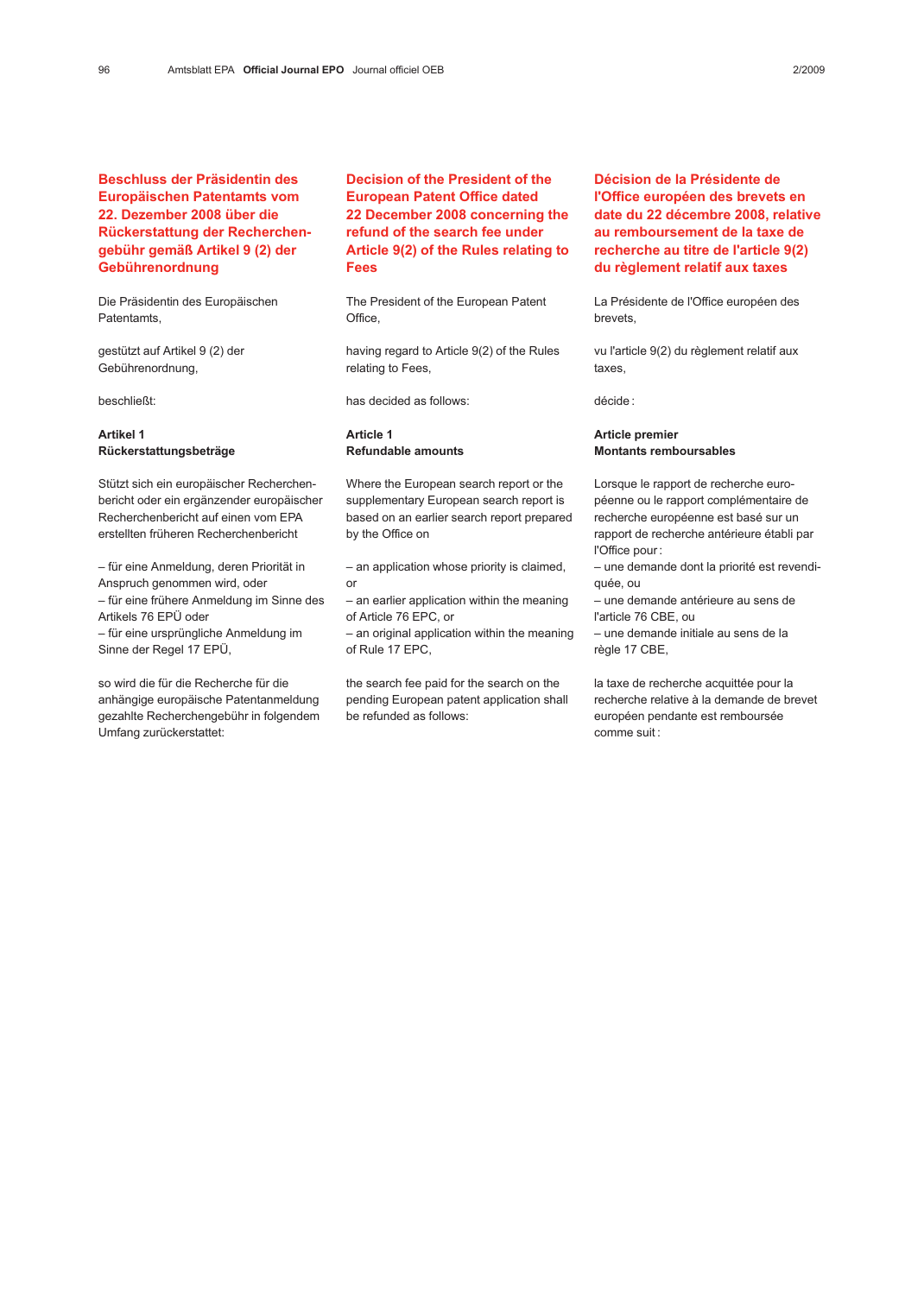# Beschluss der Präsidentin des Europäischen Patentamts vom 22. Dezember 2008 über die Rückerstattung der Recherchengebühr gemäß Artikel 9 (2) der Gebührenordnung

Die Präsidentin des Europäischen Patentamts,

gestützt auf Artikel 9 (2) der Gebührenordnung,

beschließt:

## Artikel 1 Rückerstattungsbeträge

Stützt sich ein europäischer Recherchenbericht oder ein ergänzender europäischer Recherchenbericht auf einen vom EPA erstellten früheren Recherchenbericht

– für eine Anmeldung, deren Priorität in Anspruch genommen wird, oder – für eine frühere Anmeldung im Sinne des Artikels 76 EPÜ oder – für eine ursprüngliche Anmeldung im Sinne der Regel 17 EPÜ,

so wird die für die Recherche für die anhängige europäische Patentanmeldung gezahlte Recherchengebühr in folgendem Umfang zurückerstattet:

Decision of the President of the European Patent Office dated 22 December 2008 concerning the refund of the search fee under Article 9(2) of the Rules relating to Fees

The President of the European Patent Office,

having regard to Article 9(2) of the Rules relating to Fees,

has decided as follows:

## Article 1 Refundable amounts

Where the European search report or the supplementary European search report is based on an earlier search report prepared by the Office on

– an application whose priority is claimed, or

– an earlier application within the meaning of Article 76 EPC, or

– an original application within the meaning of Rule 17 EPC,

the search fee paid for the search on the pending European patent application shall be refunded as follows:

Décision de la Présidente de l'Office européen des brevets en date du 22 décembre 2008, relative au remboursement de la taxe de recherche au titre de l'article 9(2) du règlement relatif aux taxes

La Présidente de l'Office européen des brevets,

vu l'article 9(2) du règlement relatif aux taxes,

décide :

### Article premier Montants remboursables

Lorsque le rapport de recherche européenne ou le rapport complémentaire de recherche européenne est basé sur un rapport de recherche antérieure établi par l'Office pour :

– une demande dont la priorité est revendiquée, ou

– une demande antérieure au sens de l'article 76 CBE, ou

– une demande initiale au sens de la règle 17 CBE,

la taxe de recherche acquittée pour la recherche relative à la demande de brevet européen pendante est remboursée comme suit :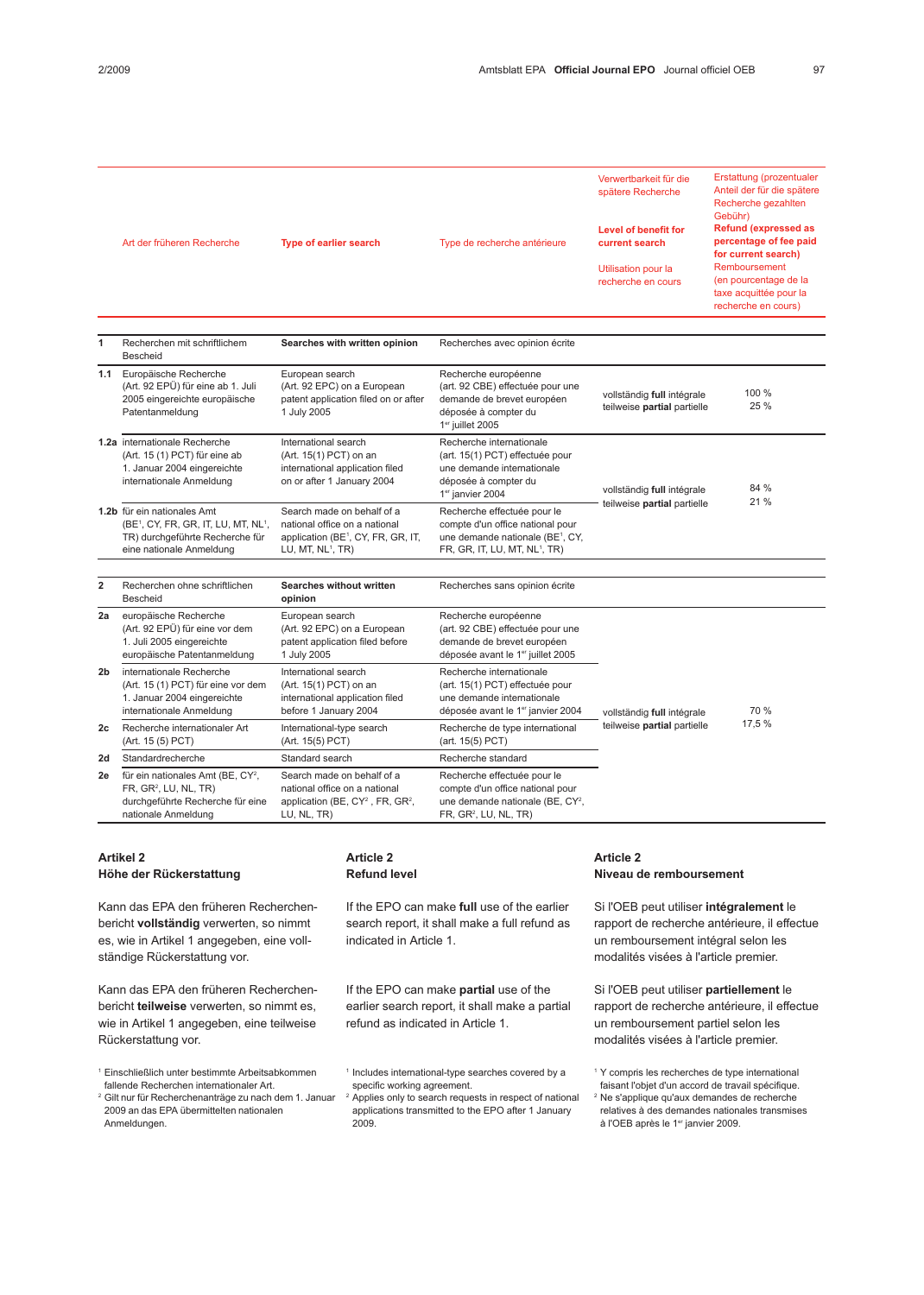|                | Art der früheren Recherche                                                                                                                                 | <b>Type of earlier search</b>                                                                                                                  | Type de recherche antérieure                                                                                                                                 | Verwertbarkeit für die<br>spätere Recherche<br><b>Level of benefit for</b><br>current search<br>Utilisation pour la<br>recherche en cours | Erstattung (prozentualer<br>Anteil der für die spätere<br>Recherche gezahlten<br>Gebühr)<br><b>Refund (expressed as</b><br>percentage of fee paid<br>for current search)<br>Remboursement<br>(en pourcentage de la<br>taxe acquittée pour la<br>recherche en cours) |
|----------------|------------------------------------------------------------------------------------------------------------------------------------------------------------|------------------------------------------------------------------------------------------------------------------------------------------------|--------------------------------------------------------------------------------------------------------------------------------------------------------------|-------------------------------------------------------------------------------------------------------------------------------------------|---------------------------------------------------------------------------------------------------------------------------------------------------------------------------------------------------------------------------------------------------------------------|
| 1              | Recherchen mit schriftlichem<br><b>Bescheid</b>                                                                                                            | Searches with written opinion                                                                                                                  | Recherches avec opinion écrite                                                                                                                               |                                                                                                                                           |                                                                                                                                                                                                                                                                     |
| 1.1            | Europäische Recherche<br>(Art. 92 EPÜ) für eine ab 1. Juli<br>2005 eingereichte europäische<br>Patentanmeldung                                             | European search<br>(Art. 92 EPC) on a European<br>patent application filed on or after<br>1 July 2005                                          | Recherche européenne<br>(art. 92 CBE) effectuée pour une<br>demande de brevet européen<br>déposée à compter du<br>1er juillet 2005                           | vollständig full intégrale<br>teilweise partial partielle                                                                                 | 100 %<br>25 %                                                                                                                                                                                                                                                       |
|                | 1.2a internationale Recherche<br>(Art. 15 (1) PCT) für eine ab<br>1. Januar 2004 eingereichte<br>internationale Anmeldung                                  | International search<br>(Art. 15(1) PCT) on an<br>international application filed<br>on or after 1 January 2004                                | Recherche internationale<br>(art. 15(1) PCT) effectuée pour<br>une demande internationale<br>déposée à compter du<br>1 <sup>er</sup> janvier 2004            | vollständig full intégrale<br>teilweise partial partielle                                                                                 | 84 %<br>21 %                                                                                                                                                                                                                                                        |
|                | 1.2b für ein nationales Amt<br>(BE <sup>1</sup> , CY, FR, GR, IT, LU, MT, NL <sup>1</sup> ,<br>TR) durchgeführte Recherche für<br>eine nationale Anmeldung | Search made on behalf of a<br>national office on a national<br>application (BE <sup>1</sup> , CY, FR, GR, IT,<br>LU, MT, NL <sup>1</sup> , TR) | Recherche effectuée pour le<br>compte d'un office national pour<br>une demande nationale (BE <sup>1</sup> , CY,<br>FR, GR, IT, LU, MT, NL <sup>1</sup> , TR) |                                                                                                                                           |                                                                                                                                                                                                                                                                     |
| $\overline{2}$ | Recherchen ohne schriftlichen<br><b>Bescheid</b>                                                                                                           | Searches without written<br>opinion                                                                                                            | Recherches sans opinion écrite                                                                                                                               |                                                                                                                                           |                                                                                                                                                                                                                                                                     |
| 2a             | europäische Recherche<br>(Art. 92 EPÜ) für eine vor dem<br>1. Juli 2005 eingereichte<br>europäische Patentanmeldung                                        | European search<br>(Art. 92 EPC) on a European<br>patent application filed before<br>1 July 2005                                               | Recherche européenne<br>(art. 92 CBE) effectuée pour une<br>demande de brevet européen<br>déposée avant le 1er juillet 2005                                  | vollständig full intégrale<br>teilweise partial partielle                                                                                 | 70 %<br>17,5 %                                                                                                                                                                                                                                                      |
| 2b             | internationale Recherche<br>(Art. 15 (1) PCT) für eine vor dem<br>1. Januar 2004 eingereichte<br>internationale Anmeldung                                  | International search<br>(Art. 15(1) PCT) on an<br>international application filed<br>before 1 January 2004                                     | Recherche internationale<br>(art. 15(1) PCT) effectuée pour<br>une demande internationale<br>déposée avant le 1er janvier 2004                               |                                                                                                                                           |                                                                                                                                                                                                                                                                     |
| 2с             | Recherche internationaler Art<br>(Art. 15 (5) PCT)                                                                                                         | International-type search<br>(Art. 15(5) PCT)                                                                                                  | Recherche de type international<br>(art. 15(5) PCT)                                                                                                          |                                                                                                                                           |                                                                                                                                                                                                                                                                     |
| 2d             | Standardrecherche                                                                                                                                          | Standard search                                                                                                                                | Recherche standard                                                                                                                                           |                                                                                                                                           |                                                                                                                                                                                                                                                                     |
| 2e             | für ein nationales Amt (BE, CY <sup>2</sup> ,<br>FR, GR <sup>2</sup> , LU, NL, TR)<br>durchgeführte Recherche für eine<br>nationale Anmeldung              | Search made on behalf of a<br>national office on a national<br>application (BE, CY <sup>2</sup> , FR, GR <sup>2</sup> ,<br>LU, NL, TR)         | Recherche effectuée pour le<br>compte d'un office national pour<br>une demande nationale (BE, CY <sup>2</sup> ,<br>FR, GR <sup>2</sup> , LU, NL, TR)         |                                                                                                                                           |                                                                                                                                                                                                                                                                     |

## Artikel 2 Höhe der Rückerstattung

Kann das EPA den früheren Recherchenbericht vollständig verwerten, so nimmt es, wie in Artikel 1 angegeben, eine vollständige Rückerstattung vor.

Kann das EPA den früheren Recherchenbericht teilweise verwerten, so nimmt es, wie in Artikel 1 angegeben, eine teilweise Rückerstattung vor.

<sup>1</sup> Einschließlich unter bestimmte Arbeitsabkommen fallende Recherchen internationaler Art.

<sup>2</sup> Gilt nur für Recherchenanträge zu nach dem 1. Januar 2009 an das EPA übermittelten nationalen Anmeldungen.

# Article 2 Refund level

If the EPO can make full use of the earlier search report, it shall make a full refund as indicated in Article 1.

If the EPO can make partial use of the earlier search report, it shall make a partial refund as indicated in Article 1.

<sup>2</sup> Applies only to search requests in respect of national applications transmitted to the EPO after 1 January 2009.

### Article 2 Niveau de remboursement

Si l'OEB peut utiliser intégralement le rapport de recherche antérieure, il effectue un remboursement intégral selon les modalités visées à l'article premier.

Si l'OEB peut utiliser partiellement le rapport de recherche antérieure, il effectue un remboursement partiel selon les modalités visées à l'article premier.

<sup>1</sup> Includes international-type searches covered by a specific working agreement.

<sup>1</sup> Y compris les recherches de type international

faisant l'objet d'un accord de travail spécifique.

<sup>&</sup>lt;sup>2</sup> Ne s'applique qu'aux demandes de recherche relatives à des demandes nationales transmises à l'OEB après le 1er janvier 2009.